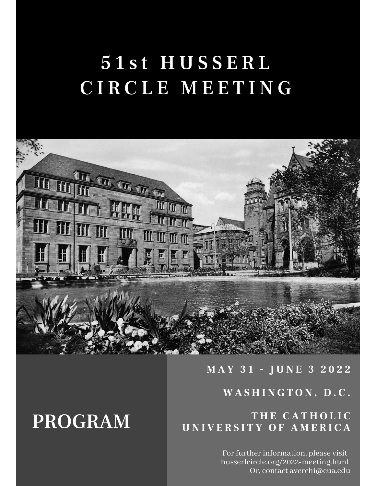# 51st HUSSERL C I R C L E M E E T I N G



## **M A Y 3 1 - J U N E 3 2 0 2 2**

### **W A S H I N G T O N , D . C .**

# **PROGRAM UNIVERSITY OF AMERICA**

For further information, please visit husserlcircle.org/2022-meeting.html Or, contact averchi@cua.edu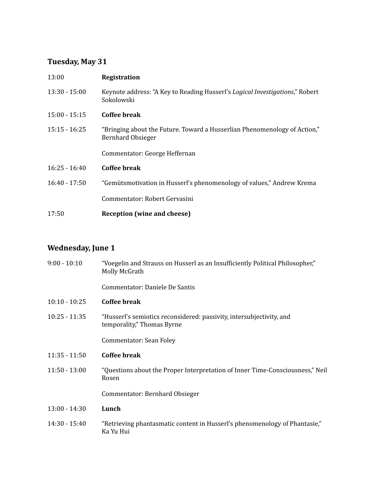### **Tuesday, May 31**

| 13:00           | Registration                                                                                          |
|-----------------|-------------------------------------------------------------------------------------------------------|
| $13:30 - 15:00$ | Keynote address: "A Key to Reading Husserl's <i>Logical Investigations</i> ," Robert<br>Sokolowski    |
| $15:00 - 15:15$ | Coffee break                                                                                          |
| $15:15 - 16:25$ | "Bringing about the Future. Toward a Husserlian Phenomenology of Action,"<br><b>Bernhard Obsieger</b> |
|                 | Commentator: George Heffernan                                                                         |
| $16:25 - 16:40$ | Coffee break                                                                                          |
| $16:40 - 17:50$ | "Gemütsmotivation in Husserl's phenomenology of values," Andrew Krema                                 |
|                 | Commentator: Robert Gervasini                                                                         |
| 17:50           | Reception (wine and cheese)                                                                           |

#### **Wednesday, June 1**

| $9:00 - 10:10$  | "Voegelin and Strauss on Husserl as an Insufficiently Political Philosopher,"<br>Molly McGrath     |
|-----------------|----------------------------------------------------------------------------------------------------|
|                 | Commentator: Daniele De Santis                                                                     |
| $10:10 - 10:25$ | Coffee break                                                                                       |
| $10:25 - 11:35$ | "Husserl's semiotics reconsidered: passivity, intersubjectivity, and<br>temporality," Thomas Byrne |
|                 | Commentator: Sean Foley                                                                            |
| $11:35 - 11:50$ | <b>Coffee break</b>                                                                                |
| $11:50 - 13:00$ | "Questions about the Proper Interpretation of Inner Time-Consciousness," Neil<br>Rosen             |
|                 | Commentator: Bernhard Obsieger                                                                     |
| $13:00 - 14:30$ | Lunch                                                                                              |
| $14:30 - 15:40$ | "Retrieving phantasmatic content in Husserl's phenomenology of Phantasie,"<br>Ka Yu Hui            |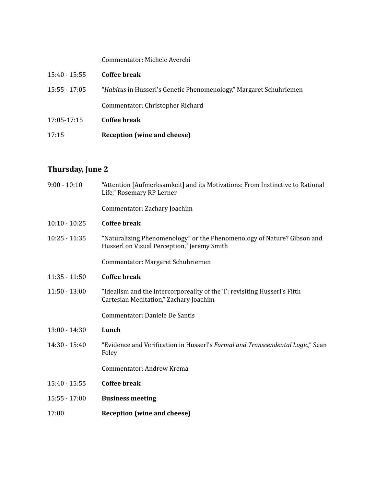#### Commentator: Michele Averchi

| $15:40 - 15:55$ | Coffee break                                                              |
|-----------------|---------------------------------------------------------------------------|
| $15:55 - 17:05$ | <i>"Habitus</i> in Husserl's Genetic Phenomenology," Margaret Schuhriemen |
|                 | Commentator: Christopher Richard                                          |
| 17:05-17:15     | Coffee break                                                              |
| 17:15           | Reception (wine and cheese)                                               |

#### **Thursday, June 2**

| $9:00 - 10:10$  | "Attention [Aufmerksamkeit] and its Motivations: From Instinctive to Rational<br>Life," Rosemary RP Lerner             |
|-----------------|------------------------------------------------------------------------------------------------------------------------|
|                 | Commentator: Zachary Joachim                                                                                           |
| $10:10 - 10:25$ | <b>Coffee break</b>                                                                                                    |
| $10:25 - 11:35$ | "Naturalizing Phenomenology" or the Phenomenology of Nature? Gibson and<br>Husserl on Visual Perception," Jeremy Smith |
|                 | Commentator: Margaret Schuhriemen                                                                                      |
| $11:35 - 11:50$ | <b>Coffee break</b>                                                                                                    |
| $11:50 - 13:00$ | "Idealism and the intercorporeality of the 'I': revisiting Husserl's Fifth<br>Cartesian Meditation," Zachary Joachim   |
|                 | Commentator: Daniele De Santis                                                                                         |
| $13:00 - 14:30$ | Lunch                                                                                                                  |
| $14:30 - 15:40$ | "Evidence and Verification in Husserl's Formal and Transcendental Logic," Sean<br>Foley                                |
|                 | Commentator: Andrew Krema                                                                                              |
| $15:40 - 15:55$ | <b>Coffee break</b>                                                                                                    |
| $15:55 - 17:00$ | <b>Business meeting</b>                                                                                                |
| 17:00           | <b>Reception (wine and cheese)</b>                                                                                     |